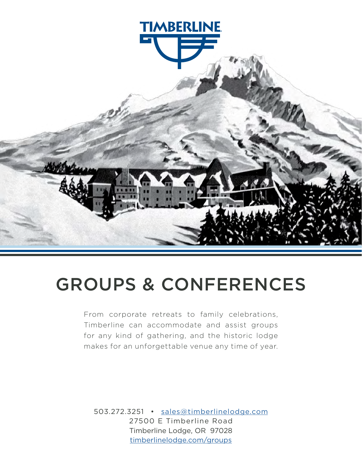

# GROUPS & CONFERENCES

From corporate retreats to family celebrations, Timberline can accommodate and assist groups for any kind of gathering, and the historic lodge makes for an unforgettable venue any time of year.

503.272.3251 • [sales@timberlinelodge.com](mailto:sales%40timberlinelodge.com?subject=) 27500 E Timberline Road Timberline Lodge, OR 97028 [timberlinelodge.com/g](http://timberlinelodge.com/groups)roups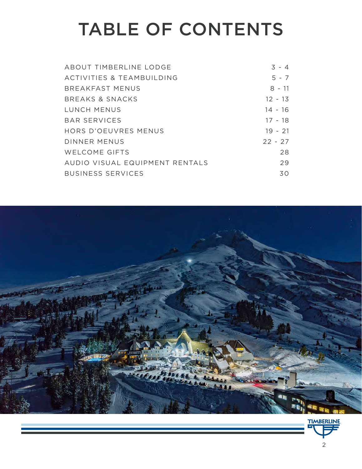# TABLE OF CONTENTS

| ABOUT TIMBERLINE LODGE         | $3 - 4$   |
|--------------------------------|-----------|
| ACTIVITIES & TEAMBUILDING      | $5 - 7$   |
| <b>BREAKFAST MENUS</b>         | $8 - 11$  |
| BREAKS & SNACKS                | $12 - 13$ |
| LUNCH MENUS                    | $14 - 16$ |
| BAR SERVICES                   | $17 - 18$ |
| HORS D'OEUVRES MENUS           | $19 - 21$ |
| DINNER MENUS                   | $22 - 27$ |
| <b>WELCOME GIFTS</b>           | 28        |
| AUDIO VISUAL EQUIPMENT RENTALS | 29        |
| <b>BUSINESS SERVICES</b>       | 30        |

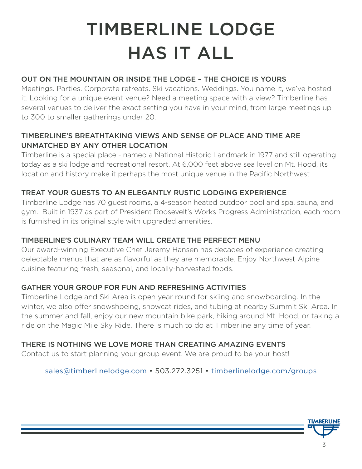# TIMBERLINE LODGE HAS IT ALL

#### OUT ON THE MOUNTAIN OR INSIDE THE LODGE – THE CHOICE IS YOURS

Meetings. Parties. Corporate retreats. Ski vacations. Weddings. You name it, we've hosted it. Looking for a unique event venue? Need a meeting space with a view? Timberline has several venues to deliver the exact setting you have in your mind, from large meetings up to 300 to smaller gatherings under 20.

#### TIMBERLINE'S BREATHTAKING VIEWS AND SENSE OF PLACE AND TIME ARE UNMATCHED BY ANY OTHER LOCATION

Timberline is a special place - named a National Historic Landmark in 1977 and still operating today as a ski lodge and recreational resort. At 6,000 feet above sea level on Mt. Hood, its location and history make it perhaps the most unique venue in the Pacific Northwest.

#### TREAT YOUR GUESTS TO AN ELEGANTLY RUSTIC LODGING EXPERIENCE

Timberline Lodge has 70 guest rooms, a 4-season heated outdoor pool and spa, sauna, and gym. Built in 1937 as part of President Roosevelt's Works Progress Administration, each room is furnished in its original style with upgraded amenities.

#### TIMBERLINE'S CULINARY TEAM WILL CREATE THE PERFECT MENU

Our award-winning Executive Chef Jeremy Hansen has decades of experience creating delectable menus that are as flavorful as they are memorable. Enjoy Northwest Alpine cuisine featuring fresh, seasonal, and locally-harvested foods.

#### GATHER YOUR GROUP FOR FUN AND REFRESHING ACTIVITIES

Timberline Lodge and Ski Area is open year round for skiing and snowboarding. In the winter, we also offer snowshoeing, snowcat rides, and tubing at nearby Summit Ski Area. In the summer and fall, enjoy our new mountain bike park, hiking around Mt. Hood, or taking a ride on the Magic Mile Sky Ride. There is much to do at Timberline any time of year.

#### THERE IS NOTHING WE LOVE MORE THAN CREATING AMAZING EVENTS

Contact us to start planning your group event. We are proud to be your host!

[sales@timberlinelodge.com](mailto:sales%40timberlinelodge.com?subject=) • 503.272.3251 • [timberlinelodge.com/](http://timberlinelodge.com/groups)groups

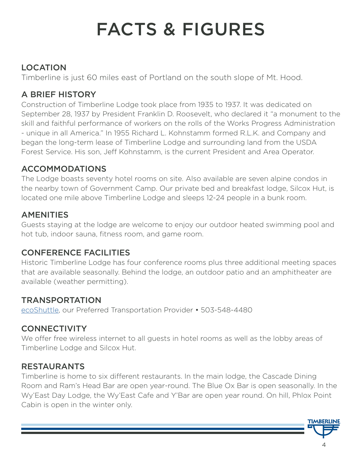# FACTS & FIGURES

# LOCATION

Timberline is just 60 miles east of Portland on the south slope of Mt. Hood.

# A BRIEF HISTORY

Construction of Timberline Lodge took place from 1935 to 1937. It was dedicated on September 28, 1937 by President Franklin D. Roosevelt, who declared it "a monument to the skill and faithful performance of workers on the rolls of the Works Progress Administration - unique in all America." In 1955 Richard L. Kohnstamm formed R.L.K. and Company and began the long-term lease of Timberline Lodge and surrounding land from the USDA Forest Service. His son, Jeff Kohnstamm, is the current President and Area Operator.

# ACCOMMODATIONS

The Lodge boasts seventy hotel rooms on site. Also available are seven alpine condos in the nearby town of Government Camp. Our private bed and breakfast lodge, Silcox Hut, is located one mile above Timberline Lodge and sleeps 12-24 people in a bunk room.

# AMENITIES

Guests staying at the lodge are welcome to enjoy our outdoor heated swimming pool and hot tub, indoor sauna, fitness room, and game room.

# CONFERENCE FACILITIES

Historic Timberline Lodge has four conference rooms plus three additional meeting spaces that are available seasonally. Behind the lodge, an outdoor patio and an amphitheater are available (weather permitting).

# **TRANSPORTATION**

[ecoShuttle](https://ecoshuttle.com/), our Preferred Transportation Provider • 503-548-4480

# **CONNECTIVITY**

We offer free wireless internet to all guests in hotel rooms as well as the lobby areas of Timberline Lodge and Silcox Hut.

# RESTAURANTS

Timberline is home to six different restaurants. In the main lodge, the Cascade Dining Room and Ram's Head Bar are open year-round. The Blue Ox Bar is open seasonally. In the Wy'East Day Lodge, the Wy'East Cafe and Y'Bar are open year round. On hill, Phlox Point Cabin is open in the winter only.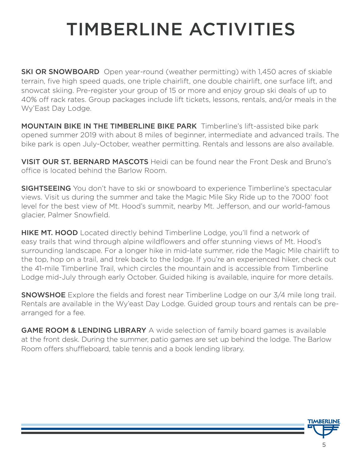# TIMBERLINE ACTIVITIES

**SKI OR SNOWBOARD** Open year-round (weather permitting) with 1,450 acres of skiable terrain, five high speed quads, one triple chairlift, one double chairlift, one surface lift, and snowcat skiing. Pre-register your group of 15 or more and enjoy group ski deals of up to 40% off rack rates. Group packages include lift tickets, lessons, rentals, and/or meals in the Wy'East Day Lodge.

**MOUNTAIN BIKE IN THE TIMBERLINE BIKE PARK** Timberline's lift-assisted bike park opened summer 2019 with about 8 miles of beginner, intermediate and advanced trails. The bike park is open July-October, weather permitting. Rentals and lessons are also available.

VISIT OUR ST. BERNARD MASCOTS Heidi can be found near the Front Desk and Bruno's office is located behind the Barlow Room.

**SIGHTSEEING** You don't have to ski or snowboard to experience Timberline's spectacular views. Visit us during the summer and take the Magic Mile Sky Ride up to the 7000' foot level for the best view of Mt. Hood's summit, nearby Mt. Jefferson, and our world-famous glacier, Palmer Snowfield.

**HIKE MT. HOOD** Located directly behind Timberline Lodge, you'll find a network of easy trails that wind through alpine wildflowers and offer stunning views of Mt. Hood's surrounding landscape. For a longer hike in mid-late summer, ride the Magic Mile chairlift to the top, hop on a trail, and trek back to the lodge. If you're an experienced hiker, check out the 41-mile Timberline Trail, which circles the mountain and is accessible from Timberline Lodge mid-July through early October. Guided hiking is available, inquire for more details.

**SNOWSHOE** Explore the fields and forest near Timberline Lodge on our 3/4 mile long trail. Rentals are available in the Wy'east Day Lodge. Guided group tours and rentals can be prearranged for a fee.

**GAME ROOM & LENDING LIBRARY** A wide selection of family board games is available at the front desk. During the summer, patio games are set up behind the lodge. The Barlow Room offers shuffleboard, table tennis and a book lending library.

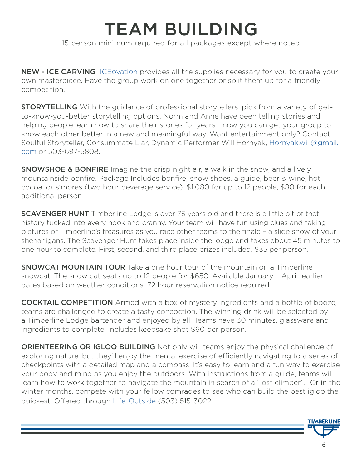# TEAM BUILDING 15 person minimum required for all packages except where noted

NEW - ICE CARVING [ICEovation](https://iceovation.com/index.html) provides all the supplies necessary for you to create your own masterpiece. Have the group work on one together or split them up for a friendly competition.

**STORYTELLING** With the guidance of professional storytellers, pick from a variety of getto-know-you-better storytelling options. Norm and Anne have been telling stories and helping people learn how to share their stories for years - now you can get your group to know each other better in a new and meaningful way. Want entertainment only? Contact Soulful Storyteller, Consummate Liar, Dynamic Performer Will Hornyak, [Hornyak.will@gmail.](mailto:Hornyak.will%40gmail.com?subject=) [com](mailto:Hornyak.will%40gmail.com?subject=) or 503-697-5808.

**SNOWSHOE & BONFIRE** Imagine the crisp night air, a walk in the snow, and a lively mountainside bonfire. Package Includes bonfire, snow shoes, a guide, beer & wine, hot cocoa, or s'mores (two hour beverage service). \$1,080 for up to 12 people, \$80 for each additional person.

**SCAVENGER HUNT** Timberline Lodge is over 75 years old and there is a little bit of that history tucked into every nook and cranny. Your team will have fun using clues and taking pictures of Timberline's treasures as you race other teams to the finale – a slide show of your shenanigans. The Scavenger Hunt takes place inside the lodge and takes about 45 minutes to one hour to complete. First, second, and third place prizes included. \$35 per person.

**SNOWCAT MOUNTAIN TOUR** Take a one hour tour of the mountain on a Timberline snowcat. The snow cat seats up to 12 people for \$650. Available January – April, earlier dates based on weather conditions. 72 hour reservation notice required.

COCKTAIL COMPETITION Armed with a box of mystery ingredients and a bottle of booze, teams are challenged to create a tasty concoction. The winning drink will be selected by a Timberline Lodge bartender and enjoyed by all. Teams have 30 minutes, glassware and ingredients to complete. Includes keepsake shot \$60 per person.

**ORIENTEERING OR IGLOO BUILDING** Not only will teams enjoy the physical challenge of exploring nature, but they'll enjoy the mental exercise of efficiently navigating to a series of checkpoints with a detailed map and a compass. It's easy to learn and a fun way to exercise your body and mind as you enjoy the outdoors. With instructions from a guide, teams will learn how to work together to navigate the mountain in search of a "lost climber". Or in the winter months, compete with your fellow comrades to see who can build the best igloo the quickest. Offered through [Life-Outside](http://life-outside.com/) (503) 515-3022.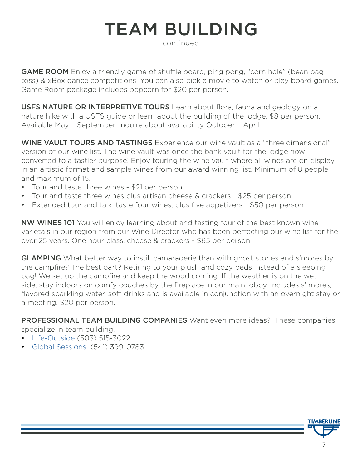# TEAM BUILDING

continued

**GAME ROOM** Enjoy a friendly game of shuffle board, ping pong, "corn hole" (bean bag toss) & xBox dance competitions! You can also pick a movie to watch or play board games. Game Room package includes popcorn for \$20 per person.

USFS NATURE OR INTERPRETIVE TOURS Learn about flora, fauna and geology on a nature hike with a USFS guide or learn about the building of the lodge. \$8 per person. Available May – September. Inquire about availability October – April.

WINE VAULT TOURS AND TASTINGS Experience our wine vault as a "three dimensional" version of our wine list. The wine vault was once the bank vault for the lodge now converted to a tastier purpose! Enjoy touring the wine vault where all wines are on display in an artistic format and sample wines from our award winning list. Minimum of 8 people and maximum of 15.

- Tour and taste three wines \$21 per person
- Tour and taste three wines plus artisan cheese & crackers \$25 per person
- Extended tour and talk, taste four wines, plus five appetizers \$50 per person

NW WINES 101 You will enjoy learning about and tasting four of the best known wine varietals in our region from our Wine Director who has been perfecting our wine list for the over 25 years. One hour class, cheese & crackers - \$65 per person.

**GLAMPING** What better way to instill camaraderie than with ghost stories and s'mores by the campfire? The best part? Retiring to your plush and cozy beds instead of a sleeping bag! We set up the campfire and keep the wood coming. If the weather is on the wet side, stay indoors on comfy couches by the fireplace in our main lobby. Includes s' mores, flavored sparkling water, soft drinks and is available in conjunction with an overnight stay or a meeting. \$20 per person.

PROFESSIONAL TEAM BUILDING COMPANIES Want even more ideas? These companies

specialize in team building!

- [Life-Outside](http://life-outside.com/) (503) 515-3022
- [Global Sessions](https://www.globalsessions.org/) (541) 399-0783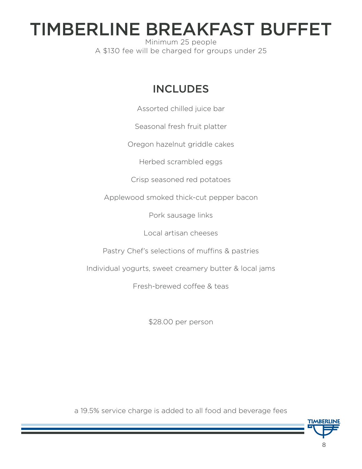# TIMBERLINE BREAKFAST BUFFET

Minimum 25 people A \$130 fee will be charged for groups under 25

# INCLUDES

Assorted chilled juice bar

Seasonal fresh fruit platter

Oregon hazelnut griddle cakes

Herbed scrambled eggs

Crisp seasoned red potatoes

Applewood smoked thick-cut pepper bacon

Pork sausage links

Local artisan cheeses

Pastry Chef's selections of muffins & pastries

Individual yogurts, sweet creamery butter & local jams

Fresh-brewed coffee & teas

\$28.00 per person

a 19.5% service charge is added to all food and beverage fees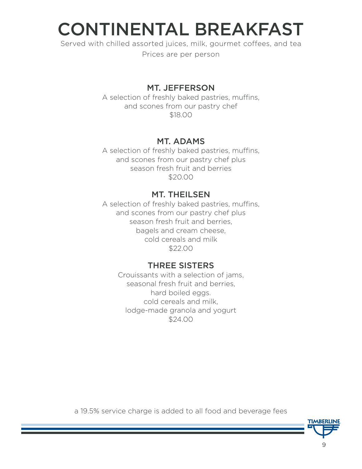# CONTINENTAL BREAKFAST

Served with chilled assorted juices, milk, gourmet coffees, and tea

Prices are per person

### MT. JEFFERSON

A selection of freshly baked pastries, muffins, and scones from our pastry chef \$18.00

### MT. ADAMS

A selection of freshly baked pastries, muffins, and scones from our pastry chef plus season fresh fruit and berries \$20.00

#### MT. THEILSEN

A selection of freshly baked pastries, muffins, and scones from our pastry chef plus season fresh fruit and berries, bagels and cream cheese, cold cereals and milk \$22.00

### THREE SISTERS

Crouissants with a selection of jams, seasonal fresh fruit and berries, hard boiled eggs. cold cereals and milk, lodge-made granola and yogurt \$24.00

a 19.5% service charge is added to all food and beverage fees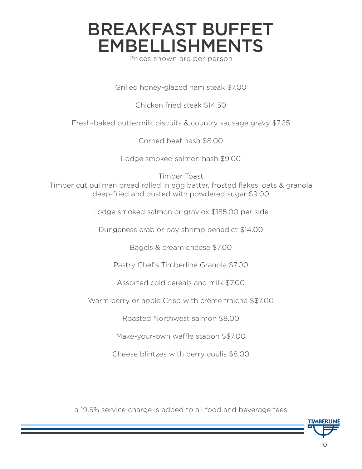# BREAKFAST BUFFET EMBELLISHMENTS

Prices shown are per person

Grilled honey-glazed ham steak \$7.00

Chicken fried steak \$14.50

Fresh-baked buttermilk biscuits & country sausage gravy \$7.25

Corned beef hash \$8.00

Lodge smoked salmon hash \$9.00

Timber Toast Timber cut pullman bread rolled in egg batter, frosted flakes, oats & granola deep-fried and dusted with powdered sugar \$9.00

Lodge smoked salmon or gravlox \$185.00 per side

Dungeness crab or bay shrimp benedict \$14.00

Bagels & cream cheese \$7.00

Pastry Chef's Timberline Granola \$7.00

Assorted cold cereals and milk \$7.00

Warm berry or apple Crisp with crème fraiche \$\$7.00

Roasted Northwest salmon \$8.00

Make-your-own waffle station \$\$7.00

Cheese blintzes with berry coulis \$8.00

a 19.5% service charge is added to all food and beverage fees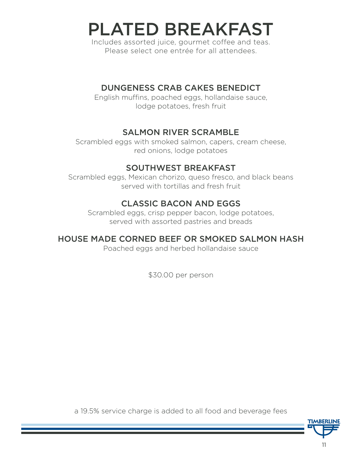# PLATED BREAKFAST

Includes assorted juice, gourmet coffee and teas. Please select one entrée for all attendees.

#### DUNGENESS CRAB CAKES BENEDICT

English muffins, poached eggs, hollandaise sauce, lodge potatoes, fresh fruit

### SALMON RIVER SCRAMBLE

Scrambled eggs with smoked salmon, capers, cream cheese, red onions, lodge potatoes

### SOUTHWEST BREAKFAST

Scrambled eggs, Mexican chorizo, queso fresco, and black beans served with tortillas and fresh fruit

### CLASSIC BACON AND EGGS

Scrambled eggs, crisp pepper bacon, lodge potatoes, served with assorted pastries and breads

### HOUSE MADE CORNED BEEF OR SMOKED SALMON HASH

Poached eggs and herbed hollandaise sauce

\$30.00 per person

a 19.5% service charge is added to all food and beverage fees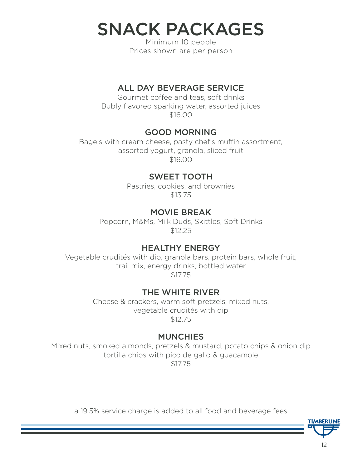SNACK PACKAGES

Minimum 10 people Prices shown are per person

#### ALL DAY BEVERAGE SERVICE

Gourmet coffee and teas, soft drinks Bubly flavored sparking water, assorted juices \$16.00

#### GOOD MORNING

Bagels with cream cheese, pasty chef's muffin assortment, assorted yogurt, granola, sliced fruit \$16.00

### SWEET TOOTH

Pastries, cookies, and brownies \$13.75

### MOVIE BREAK

Popcorn, M&Ms, Milk Duds, Skittles, Soft Drinks \$12.25

### HEALTHY ENERGY

Vegetable crudités with dip, granola bars, protein bars, whole fruit, trail mix, energy drinks, bottled water \$17.75

### THE WHITE RIVER

Cheese & crackers, warm soft pretzels, mixed nuts, vegetable crudités with dip \$12.75

#### **MUNCHIES**

Mixed nuts, smoked almonds, pretzels & mustard, potato chips & onion dip tortilla chips with pico de gallo & guacamole \$17.75

a 19.5% service charge is added to all food and beverage fees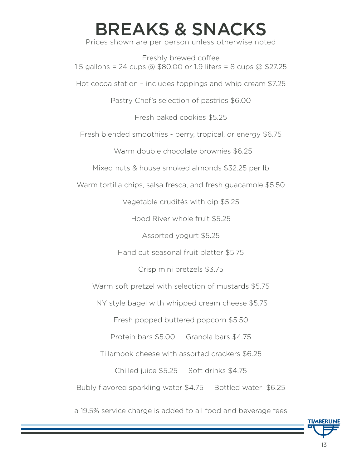# BREAKS & SNACKS

Prices shown are per person unless otherwise noted

Freshly brewed coffee 1.5 gallons = 24 cups @ \$80.00 or 1.9 liters = 8 cups @ \$27.25

Hot cocoa station – includes toppings and whip cream \$7.25

Pastry Chef's selection of pastries \$6.00

Fresh baked cookies \$5.25

Fresh blended smoothies - berry, tropical, or energy \$6.75

Warm double chocolate brownies \$6.25

Mixed nuts & house smoked almonds \$32.25 per lb

Warm tortilla chips, salsa fresca, and fresh guacamole \$5.50

Vegetable crudités with dip \$5.25

Hood River whole fruit \$5.25

Assorted yogurt \$5.25

Hand cut seasonal fruit platter \$5.75

Crisp mini pretzels \$3.75

Warm soft pretzel with selection of mustards \$5.75

NY style bagel with whipped cream cheese \$5.75

Fresh popped buttered popcorn \$5.50

Protein bars \$5.00 Granola bars \$4.75

Tillamook cheese with assorted crackers \$6.25

Chilled juice \$5.25 Soft drinks \$4.75

Bubly flavored sparkling water \$4.75 Bottled water \$6.25

a 19.5% service charge is added to all food and beverage fees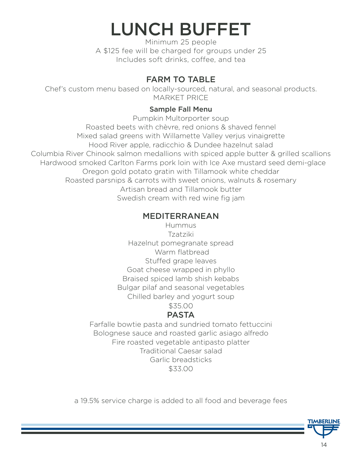# LUNCH BUFFET

Minimum 25 people A \$125 fee will be charged for groups under 25 Includes soft drinks, coffee, and tea

### FARM TO TABLE

Chef's custom menu based on locally-sourced, natural, and seasonal products. MARKET PRICE

#### Sample Fall Menu

Pumpkin Multorporter soup Roasted beets with chèvre, red onions & shaved fennel Mixed salad greens with Willamette Valley verjus vinaigrette Hood River apple, radicchio & Dundee hazelnut salad Columbia River Chinook salmon medallions with spiced apple butter & grilled scallions Hardwood smoked Carlton Farms pork loin with Ice Axe mustard seed demi-glace Oregon gold potato gratin with Tillamook white cheddar Roasted parsnips & carrots with sweet onions, walnuts & rosemary Artisan bread and Tillamook butter Swedish cream with red wine fig jam

### MEDITERRANEAN

Hummus Tzatziki Hazelnut pomegranate spread Warm flatbread Stuffed grape leaves Goat cheese wrapped in phyllo Braised spiced lamb shish kebabs Bulgar pilaf and seasonal vegetables Chilled barley and yogurt soup

\$35.00

# PASTA

Farfalle bowtie pasta and sundried tomato fettuccini Bolognese sauce and roasted garlic asiago alfredo Fire roasted vegetable antipasto platter Traditional Caesar salad Garlic breadsticks \$33.00

a 19.5% service charge is added to all food and beverage fees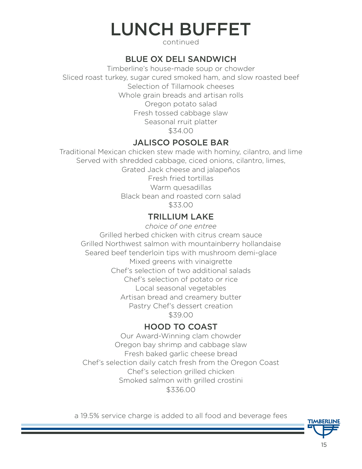# LUNCH BUFFET

continued

### BLUE OX DELI SANDWICH

Timberline's house-made soup or chowder Sliced roast turkey, sugar cured smoked ham, and slow roasted beef Selection of Tillamook cheeses Whole grain breads and artisan rolls Oregon potato salad Fresh tossed cabbage slaw Seasonal rruit platter \$34.00

### JALISCO POSOLE BAR

Traditional Mexican chicken stew made with hominy, cilantro, and lime Served with shredded cabbage, ciced onions, cilantro, limes, Grated Jack cheese and jalapeños Fresh fried tortillas Warm quesadillas Black bean and roasted corn salad \$33.00

### TRILLIUM LAKE

*choice of one entree* Grilled herbed chicken with citrus cream sauce Grilled Northwest salmon with mountainberry hollandaise Seared beef tenderloin tips with mushroom demi-glace Mixed greens with vinaigrette Chef's selection of two additional salads Chef's selection of potato or rice Local seasonal vegetables Artisan bread and creamery butter Pastry Chef's dessert creation \$39.00

# HOOD TO COAST

Our Award-Winning clam chowder Oregon bay shrimp and cabbage slaw Fresh baked garlic cheese bread Chef's selection daily catch fresh from the Oregon Coast Chef's selection grilled chicken Smoked salmon with grilled crostini \$336.00

a 19.5% service charge is added to all food and beverage fees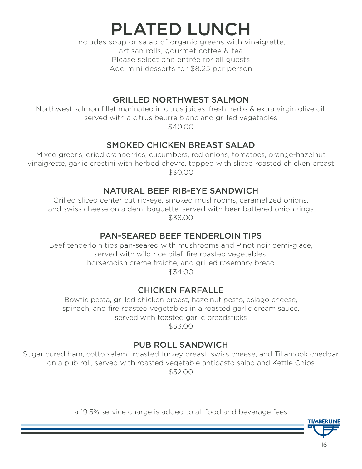PLATED LUNCH

Includes soup or salad of organic greens with vinaigrette, artisan rolls, gourmet coffee & tea Please select one entrée for all guests Add mini desserts for \$8.25 per person

#### GRILLED NORTHWEST SALMON

Northwest salmon fillet marinated in citrus juices, fresh herbs & extra virgin olive oil, served with a citrus beurre blanc and grilled vegetables

\$40.00

### SMOKED CHICKEN BREAST SALAD

Mixed greens, dried cranberries, cucumbers, red onions, tomatoes, orange-hazelnut vinaigrette, garlic crostini with herbed chevre, topped with sliced roasted chicken breast \$30.00

### NATURAL BEEF RIB-EYE SANDWICH

Grilled sliced center cut rib-eye, smoked mushrooms, caramelized onions, and swiss cheese on a demi baguette, served with beer battered onion rings \$38.00

#### PAN-SEARED BEEF TENDERLOIN TIPS

Beef tenderloin tips pan-seared with mushrooms and Pinot noir demi-glace, served with wild rice pilaf, fire roasted vegetables, horseradish creme fraiche, and grilled rosemary bread \$34.00

### CHICKEN FARFALLE

Bowtie pasta, grilled chicken breast, hazelnut pesto, asiago cheese, spinach, and fire roasted vegetables in a roasted garlic cream sauce, served with toasted garlic breadsticks \$33.00

### PUB ROLL SANDWICH

Sugar cured ham, cotto salami, roasted turkey breast, swiss cheese, and Tillamook cheddar on a pub roll, served with roasted vegetable antipasto salad and Kettle Chips \$32.00

a 19.5% service charge is added to all food and beverage fees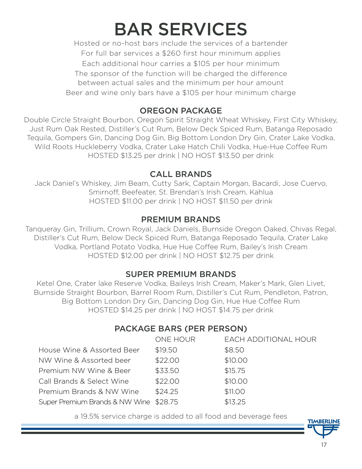# BAR SERVICES

Hosted or no-host bars include the services of a bartender For full bar services a \$260 first hour minimum applies Each additional hour carries a \$105 per hour minimum The sponsor of the function will be charged the difference between actual sales and the minimum per hour amount Beer and wine only bars have a \$105 per hour minimum charge

#### OREGON PACKAGE

Double Circle Straight Bourbon, Oregon Spirit Straight Wheat Whiskey, First City Whiskey, Just Rum Oak Rested, Distiller's Cut Rum, Below Deck Spiced Rum, Batanga Reposado Tequila, Gompers Gin, Dancing Dog Gin, Big Bottom London Dry Gin, Crater Lake Vodka, Wild Roots Huckleberry Vodka, Crater Lake Hatch Chili Vodka, Hue-Hue Coffee Rum HOSTED \$13.25 per drink | NO HOST \$13.50 per drink

#### CALL BRANDS

Jack Daniel's Whiskey, Jim Beam, Cutty Sark, Captain Morgan, Bacardi, Jose Cuervo, Smirnoff, Beefeater, St. Brendan's Irish Cream, Kahlua HOSTED \$11.00 per drink | NO HOST \$11.50 per drink

#### PREMIUM BRANDS

Tanqueray Gin, Trillium, Crown Royal, Jack Daniels, Burnside Oregon Oaked, Chivas Regal, Distiller's Cut Rum, Below Deck Spiced Rum, Batanga Reposado Tequila, Crater Lake Vodka, Portland Potato Vodka, Hue Hue Coffee Rum, Bailey's Irish Cream HOSTED \$12.00 per drink | NO HOST \$12.75 per drink

### SUPER PREMIUM BRANDS

Ketel One, Crater lake Reserve Vodka, Baileys Irish Cream, Maker's Mark, Glen Livet, Burnside Straight Bourbon, Barrel Room Rum, Distiller's Cut Rum, Pendleton, Patron, Big Bottom London Dry Gin, Dancing Dog Gin, Hue Hue Coffee Rum HOSTED \$14.25 per drink | NO HOST \$14.75 per drink

# PACKAGE BARS (PER PERSON)

|                                        | ONE HOUR | <b>EACH ADDITIONAL HOUR</b> |
|----------------------------------------|----------|-----------------------------|
| House Wine & Assorted Beer             | \$19.50  | \$8.50                      |
| NW Wine & Assorted beer                | \$22.00  | \$10.00                     |
| Premium NW Wine & Beer                 | \$33.50  | \$15.75                     |
| Call Brands & Select Wine              | \$22.00  | \$10.00                     |
| Premium Brands & NW Wine               | \$24.25  | \$11.00                     |
| Super Premium Brands & NW Wine \$28.75 |          | \$13.25                     |

a 19.5% service charge is added to all food and beverage fees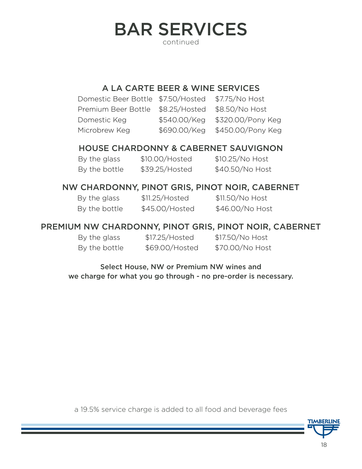# BAR SERVICES continued

#### A LA CARTE BEER & WINE SERVICES

| Domestic Beer Bottle \$7.50/Hosted \$7.75/No Host |                                |
|---------------------------------------------------|--------------------------------|
| Premium Beer Bottle \$8.25/Hosted \$8.50/No Host  |                                |
| Domestic Keg                                      | \$540.00/Keg \$320.00/Pony Keg |
| Microbrew Keg                                     | \$690.00/Keg \$450.00/Pony Keg |

#### HOUSE CHARDONNY & CABERNET SAUVIGNON

| By the glass  | \$10.00/Hosted | $$10.25/No$ Host |
|---------------|----------------|------------------|
| By the bottle | \$39.25/Hosted | \$40.50/No Host  |

#### NW CHARDONNY, PINOT GRIS, PINOT NOIR, CABERNET

| By the glass  | \$11.25/Hosted | \$11.50/No Host |
|---------------|----------------|-----------------|
| By the bottle | \$45.00/Hosted | \$46.00/No Host |

#### PREMIUM NW CHARDONNY, PINOT GRIS, PINOT NOIR, CABERNET

| By the glass  | \$17.25/Hosted | \$17.50/No Host |
|---------------|----------------|-----------------|
| By the bottle | \$69.00/Hosted | \$70.00/No Host |

Select House, NW or Premium NW wines and we charge for what you go through - no pre-order is necessary.

a 19.5% service charge is added to all food and beverage fees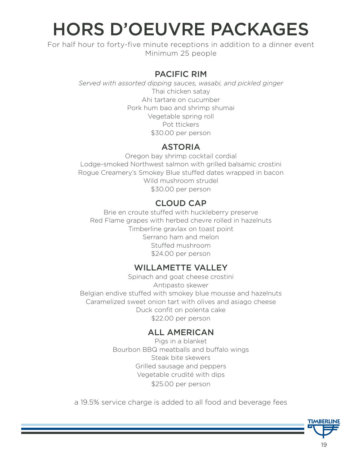# HORS D'OEUVRE PACKAGES

For half hour to forty-five minute receptions in addition to a dinner event Minimum 25 people

#### PACIFIC RIM

*Served with assorted dipping sauces, wasabi, and pickled ginger* Thai chicken satay Ahi tartare on cucumber Pork hum bao and shrimp shumai Vegetable spring roll Pot ttickers \$30.00 per person

#### ASTORIA

Oregon bay shrimp cocktail cordial Lodge-smoked Northwest salmon with grilled balsamic crostini Rogue Creamery's Smokey Blue stuffed dates wrapped in bacon Wild mushroom strudel \$30.00 per person

### CLOUD CAP

Brie en croute stuffed with huckleberry preserve Red Flame grapes with herbed chevre rolled in hazelnuts Timberline gravlax on toast point Serrano ham and melon Stuffed mushroom \$24.00 per person

#### WILLAMETTE VALLEY

Spinach and goat cheese crostini Antipasto skewer Belgian endive stuffed with smokey blue mousse and hazelnuts Caramelized sweet onion tart with olives and asiago cheese Duck confit on polenta cake \$22.00 per person

#### ALL AMERICAN

Pigs in a blanket Bourbon BBQ meatballs and buffalo wings Steak bite skewers Grilled sausage and peppers Vegetable crudité with dips \$25.00 per person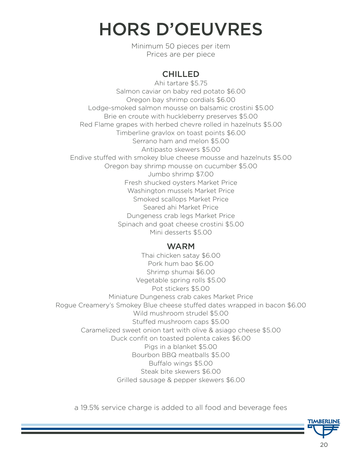# HORS D'OEUVRES

Minimum 50 pieces per item Prices are per piece

# **CHILLED**

Ahi tartare \$5.75 Salmon caviar on baby red potato \$6.00 Oregon bay shrimp cordials \$6.00 Lodge-smoked salmon mousse on balsamic crostini \$5.00 Brie en croute with huckleberry preserves \$5.00 Red Flame grapes with herbed chevre rolled in hazelnuts \$5.00 Timberline gravlox on toast points \$6.00 Serrano ham and melon \$5.00 Antipasto skewers \$5.00 Endive stuffed with smokey blue cheese mousse and hazelnuts \$5.00 Oregon bay shrimp mousse on cucumber \$5.00 Jumbo shrimp \$7.00 Fresh shucked oysters Market Price Washington mussels Market Price Smoked scallops Market Price Seared ahi Market Price Dungeness crab legs Market Price Spinach and goat cheese crostini \$5.00 Mini desserts \$5.00

#### WARM

Thai chicken satay \$6.00 Pork hum bao \$6.00 Shrimp shumai \$6.00 Vegetable spring rolls \$5.00 Pot stickers \$5.00 Miniature Dungeness crab cakes Market Price Rogue Creamery's Smokey Blue cheese stuffed dates wrapped in bacon \$6.00 Wild mushroom strudel \$5.00 Stuffed mushroom caps \$5.00 Caramelized sweet onion tart with olive & asiago cheese \$5.00 Duck confit on toasted polenta cakes \$6.00 Pigs in a blanket \$5.00 Bourbon BBQ meatballs \$5.00 Buffalo wings \$5.00 Steak bite skewers \$6.00 Grilled sausage & pepper skewers \$6.00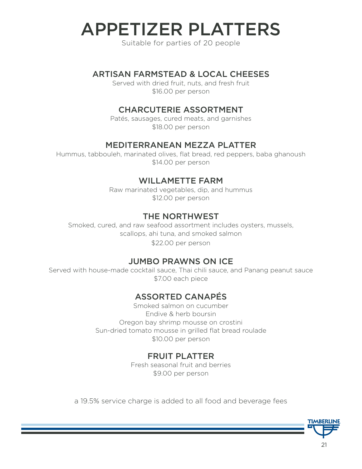# APPETIZER PLATTERS

Suitable for parties of 20 people

#### ARTISAN FARMSTEAD & LOCAL CHEESES

Served with dried fruit, nuts, and fresh fruit \$16.00 per person

#### CHARCUTERIE ASSORTMENT

Patés, sausages, cured meats, and garnishes \$18.00 per person

#### MEDITERRANEAN MEZZA PLATTER

Hummus, tabbouleh, marinated olives, flat bread, red peppers, baba ghanoush \$14.00 per person

#### WILLAMETTE FARM

Raw marinated vegetables, dip, and hummus \$12.00 per person

#### THE NORTHWEST

Smoked, cured, and raw seafood assortment includes oysters, mussels, scallops, ahi tuna, and smoked salmon \$22.00 per person

#### JUMBO PRAWNS ON ICE

Served with house-made cocktail sauce, Thai chili sauce, and Panang peanut sauce \$7.00 each piece

#### ASSORTED CANAPÉS

Smoked salmon on cucumber Endive & herb boursin Oregon bay shrimp mousse on crostini Sun-dried tomato mousse in grilled flat bread roulade \$10.00 per person

#### FRUIT PLATTER

Fresh seasonal fruit and berries \$9.00 per person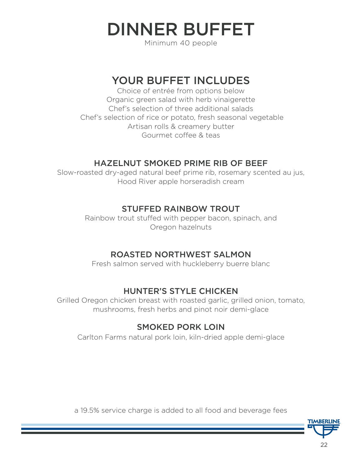DINNER BUFFET

Minimum 40 people

# YOUR BUFFET INCLUDES

Choice of entrée from options below Organic green salad with herb vinaigerette Chef's selection of three additional salads Chef's selection of rice or potato, fresh seasonal vegetable Artisan rolls & creamery butter Gourmet coffee & teas

### HAZELNUT SMOKED PRIME RIB OF BEEF

Slow-roasted dry-aged natural beef prime rib, rosemary scented au jus, Hood River apple horseradish cream

### STUFFED RAINBOW TROUT

Rainbow trout stuffed with pepper bacon, spinach, and Oregon hazelnuts

### ROASTED NORTHWEST SALMON

Fresh salmon served with huckleberry buerre blanc

# HUNTER'S STYLE CHICKEN

Grilled Oregon chicken breast with roasted garlic, grilled onion, tomato, mushrooms, fresh herbs and pinot noir demi-glace

### SMOKED PORK LOIN

Carlton Farms natural pork loin, kiln-dried apple demi-glace

a 19.5% service charge is added to all food and beverage fees

22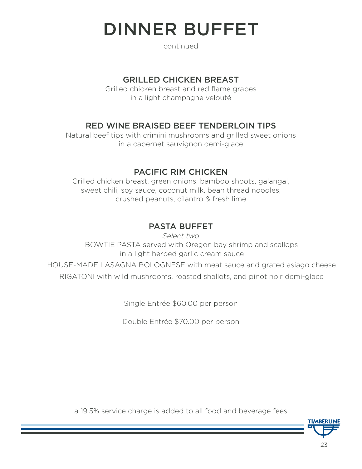# DINNER BUFFET

continued

#### GRILLED CHICKEN BREAST

Grilled chicken breast and red flame grapes in a light champagne velouté

### RED WINE BRAISED BEEF TENDERLOIN TIPS

Natural beef tips with crimini mushrooms and grilled sweet onions in a cabernet sauvignon demi-glace

### PACIFIC RIM CHICKEN

Grilled chicken breast, green onions, bamboo shoots, galangal, sweet chili, soy sauce, coconut milk, bean thread noodles, crushed peanuts, cilantro & fresh lime

# PASTA BUFFET

*Select two* BOWTIE PASTA served with Oregon bay shrimp and scallops in a light herbed garlic cream sauce

HOUSE-MADE LASAGNA BOLOGNESE with meat sauce and grated asiago cheese RIGATONI with wild mushrooms, roasted shallots, and pinot noir demi-glace

Single Entrée \$60.00 per person

Double Entrée \$70.00 per person

a 19.5% service charge is added to all food and beverage fees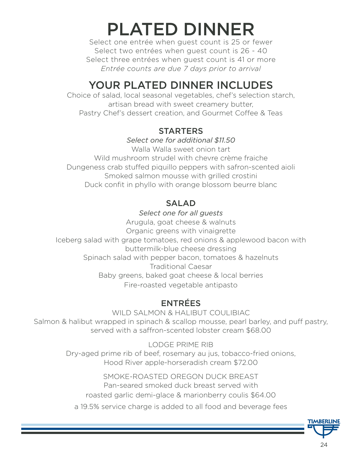# PLATED DINNER

Select one entrée when guest count is 25 or fewer Select two entrées when guest count is 26 - 40 Select three entrées when guest count is 41 or more *Entrée counts are due 7 days prior to arrival*

# YOUR PLATED DINNER INCLUDES

Choice of salad, local seasonal vegetables, chef's selection starch, artisan bread with sweet creamery butter, Pastry Chef's dessert creation, and Gourmet Coffee & Teas

#### **STARTERS**

*Select one for additional \$11.50*

Walla Walla sweet onion tart Wild mushroom strudel with chevre crème fraiche Dungeness crab stuffed piquillo peppers with safron-scented aioli Smoked salmon mousse with grilled crostini Duck confit in phyllo with orange blossom beurre blanc

# SALAD

*Select one for all guests* Arugula, goat cheese & walnuts Organic greens with vinaigrette Iceberg salad with grape tomatoes, red onions & applewood bacon with buttermilk-blue cheese dressing Spinach salad with pepper bacon, tomatoes & hazelnuts Traditional Caesar Baby greens, baked goat cheese & local berries Fire-roasted vegetable antipasto

# ENTRÉES

WILD SALMON & HALIBUT COULIBIAC Salmon & halibut wrapped in spinach & scallop mousse, pearl barley, and puff pastry, served with a saffron-scented lobster cream \$68.00

> LODGE PRIME RIB Dry-aged prime rib of beef, rosemary au jus, tobacco-fried onions, Hood River apple-horseradish cream \$72.00

SMOKE-ROASTED OREGON DUCK BREAST Pan-seared smoked duck breast served with roasted garlic demi-glace & marionberry coulis \$64.00

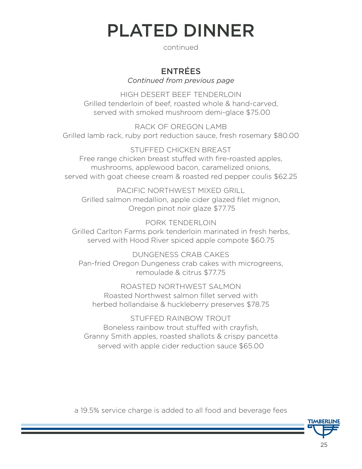# PLATED DINNER

continued

#### ENTRÉES *Continued from previous page*

HIGH DESERT BEEF TENDERLOIN Grilled tenderloin of beef, roasted whole & hand-carved, served with smoked mushroom demi-glace \$75.00

RACK OF ORFGON LAMB Grilled lamb rack, ruby port reduction sauce, fresh rosemary \$80.00

STUFFED CHICKEN BREAST Free range chicken breast stuffed with fire-roasted apples, mushrooms, applewood bacon, caramelized onions, served with goat cheese cream & roasted red pepper coulis \$62.25

PACIFIC NORTHWEST MIXED GRILL Grilled salmon medallion, apple cider glazed filet mignon, Oregon pinot noir glaze \$77.75

PORK TENDERLOIN Grilled Carlton Farms pork tenderloin marinated in fresh herbs, served with Hood River spiced apple compote \$60.75

DUNGENESS CRAB CAKES Pan-fried Oregon Dungeness crab cakes with microgreens, remoulade & citrus \$77.75

ROASTED NORTHWEST SALMON Roasted Northwest salmon fillet served with herbed hollandaise & huckleberry preserves \$78.75

STUFFED RAINBOW TROUT Boneless rainbow trout stuffed with crayfish, Granny Smith apples, roasted shallots & crispy pancetta served with apple cider reduction sauce \$65.00

a 19.5% service charge is added to all food and beverage fees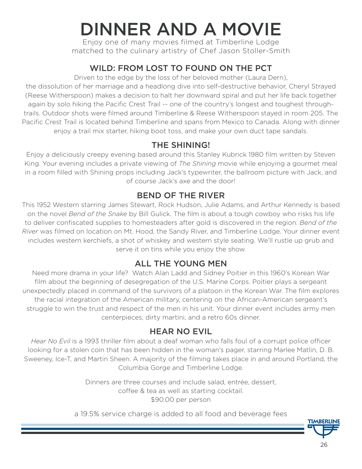# DINNER AND A MOVIE

Enjoy one of many movies filmed at Timberline Lodge matched to the culinary artistry of Chef Jason Stoller-Smith

# WILD: FROM LOST TO FOUND ON THE PCT

Driven to the edge by the loss of her beloved mother (Laura Dern),

the dissolution of her marriage and a headlong dive into self-destructive behavior, Cheryl Strayed (Reese Witherspoon) makes a decision to halt her downward spiral and put her life back together again by solo hiking the Pacific Crest Trail -- one of the country's longest and toughest throughtrails. Outdoor shots were filmed around Timberline & Reese Witherspoon stayed in room 205. The Pacific Crest Trail is located behind Timberline and spans from Mexico to Canada. Along with dinner enjoy a trail mix starter, hiking boot toss, and make your own duct tape sandals.

### THE SHINING!

Enjoy a deliciously creepy evening based around this Stanley Kubrick 1980 film written by Steven King. Your evening includes a private viewing of *The Shining* movie while enjoying a gourmet meal in a room filled with Shining props including Jack's typewriter, the ballroom picture with Jack, and of course Jack's axe and the door!

# BEND OF THE RIVER

This 1952 Western starring James Stewart, Rock Hudson, Julie Adams, and Arthur Kennedy is based on the novel *Bend of the Snake* by Bill Gulick. The film is about a tough cowboy who risks his life to deliver confiscated supplies to homesteaders after gold is discovered in the region. *Bend of the River* was filmed on location on Mt. Hood, the Sandy River, and Timberline Lodge. Your dinner event includes western kerchiefs, a shot of whiskey and western style seating. We'll rustle up grub and serve it on tins while you enjoy the show.

# ALL THE YOUNG MEN

Need more drama in your life? Watch Alan Ladd and Sidney Poitier in this 1960's Korean War film about the beginning of desegregation of the U.S. Marine Corps. Poitier plays a sergeant unexpectedly placed in command of the survivors of a platoon in the Korean War. The film explores the racial integration of the American military, centering on the African-American sergeant's struggle to win the trust and respect of the men in his unit. Your dinner event includes army men centerpieces, dirty martini, and a retro 60s dinner.

# HEAR NO EVIL

*Hear No Evil* is a 1993 thriller film about a deaf woman who falls foul of a corrupt police officer looking for a stolen coin that has been hidden in the woman's pager, starring Marlee Matlin, D. B. Sweeney, Ice-T, and Martin Sheen. A majority of the filming takes place in and around Portland, the Columbia Gorge and Timberline Lodge.

> Dinners are three courses and include salad, entrée, dessert, coffee & tea as well as starting cocktail. \$90.00 per person

a 19.5% service charge is added to all food and beverage fees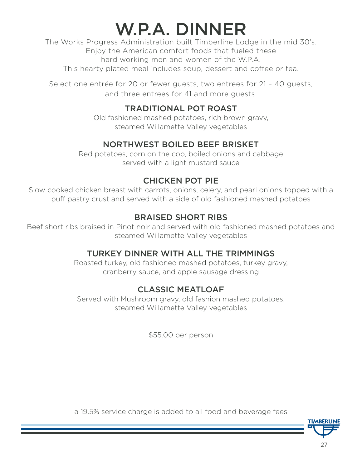# W.P.A. DINNER

The Works Progress Administration built Timberline Lodge in the mid 30's. Enjoy the American comfort foods that fueled these hard working men and women of the W.P.A. This hearty plated meal includes soup, dessert and coffee or tea.

Select one entrée for 20 or fewer guests, two entrees for 21 – 40 guests, and three entrees for 41 and more guests.

### TRADITIONAL POT ROAST

Old fashioned mashed potatoes, rich brown gravy, steamed Willamette Valley vegetables

# NORTHWEST BOILED BEEF BRISKET

Red potatoes, corn on the cob, boiled onions and cabbage served with a light mustard sauce

# CHICKEN POT PIE

Slow cooked chicken breast with carrots, onions, celery, and pearl onions topped with a puff pastry crust and served with a side of old fashioned mashed potatoes

# BRAISED SHORT RIBS

Beef short ribs braised in Pinot noir and served with old fashioned mashed potatoes and steamed Willamette Valley vegetables

# TURKEY DINNER WITH ALL THE TRIMMINGS

Roasted turkey, old fashioned mashed potatoes, turkey gravy, cranberry sauce, and apple sausage dressing

# CLASSIC MEATLOAF

Served with Mushroom gravy, old fashion mashed potatoes, steamed Willamette Valley vegetables

\$55.00 per person

a 19.5% service charge is added to all food and beverage fees

TIMBERLII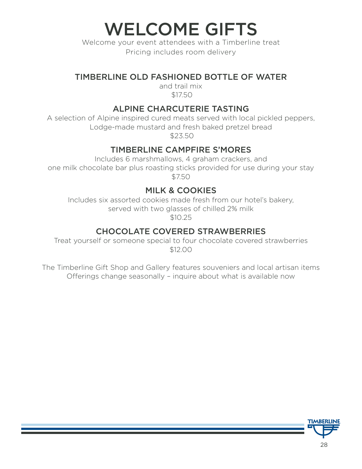WELCOME GIFTS

Welcome your event attendees with a Timberline treat Pricing includes room delivery

### TIMBERLINE OLD FASHIONED BOTTLE OF WATER

and trail mix \$17.50

### ALPINE CHARCUTERIE TASTING

A selection of Alpine inspired cured meats served with local pickled peppers, Lodge-made mustard and fresh baked pretzel bread

\$23.50

### TIMBERLINE CAMPFIRE S'MORES

Includes 6 marshmallows, 4 graham crackers, and one milk chocolate bar plus roasting sticks provided for use during your stay \$7.50

### MILK & COOKIES

Includes six assorted cookies made fresh from our hotel's bakery, served with two glasses of chilled 2% milk \$10.25

# CHOCOLATE COVERED STRAWBERRIES

Treat yourself or someone special to four chocolate covered strawberries \$12.00

The Timberline Gift Shop and Gallery features souveniers and local artisan items Offerings change seasonally – inquire about what is available now

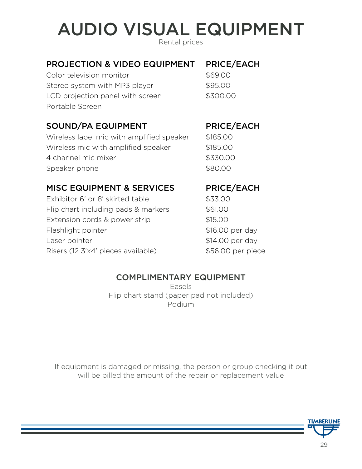# AUDIO VISUAL EQUIPMENT

Rental prices

### PROJECTION & VIDEO EQUIPMENT PRICE/EACH

Color television monitor  $$69.00$ Stereo system with MP3 player \$95.00 LCD projection panel with screen \$300.00 Portable Screen

### SOUND/PA EQUIPMENT PRICE/EACH

Wireless lapel mic with amplified speaker \$185.00 Wireless mic with amplified speaker \$185.00 4 channel mic mixer **\$330.00** Speaker phone \$80.00

### MISC EQUIPMENT & SERVICES PRICE/EACH

Exhibitor 6' or 8' skirted table \$33.00 Flip chart including pads & markers \$61.00 Extension cords & power strip  $$15.00$ Flashlight pointer  $$16.00$  per day Laser pointer  $$14.00$  per day Risers (12 3'x4' pieces available)  $$56.00$  per piece

### COMPLIMENTARY EQUIPMENT

Easels Flip chart stand (paper pad not included) Podium

If equipment is damaged or missing, the person or group checking it out will be billed the amount of the repair or replacement value